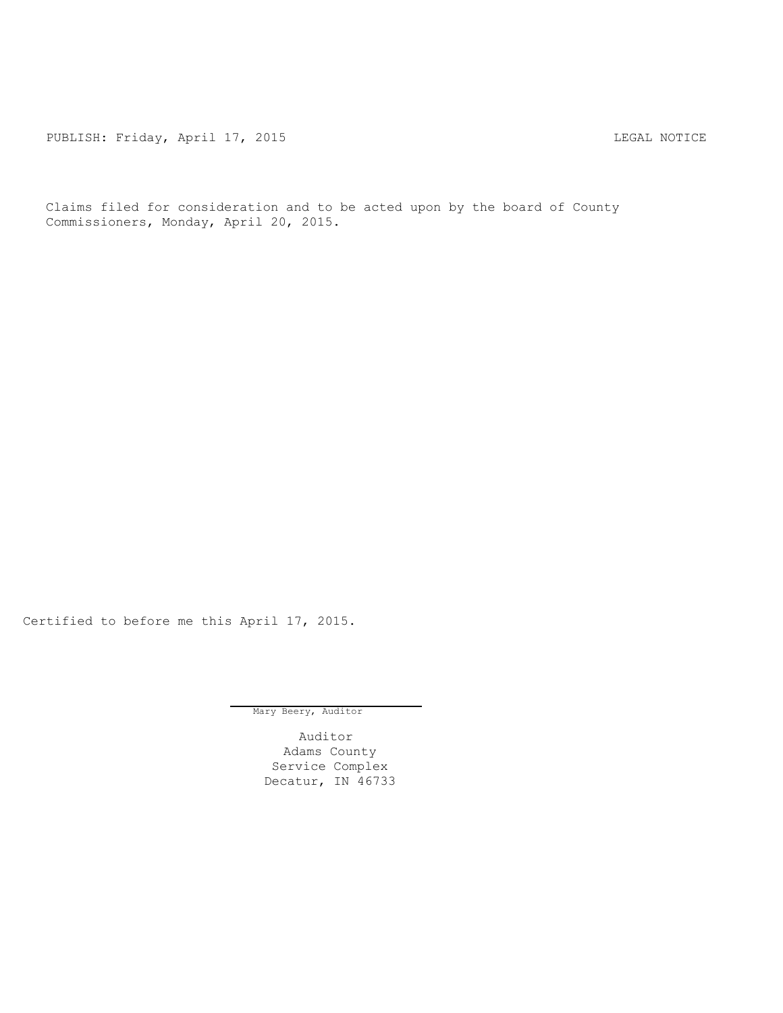PUBLISH: Friday, April 17, 2015 LEGAL NOTICE

Claims filed for consideration and to be acted upon by the board of County Commissioners, Monday, April 20, 2015.

Certified to before me this April 17, 2015.

Mary Beery, Auditor

Auditor Adams County Service Complex Decatur, IN 46733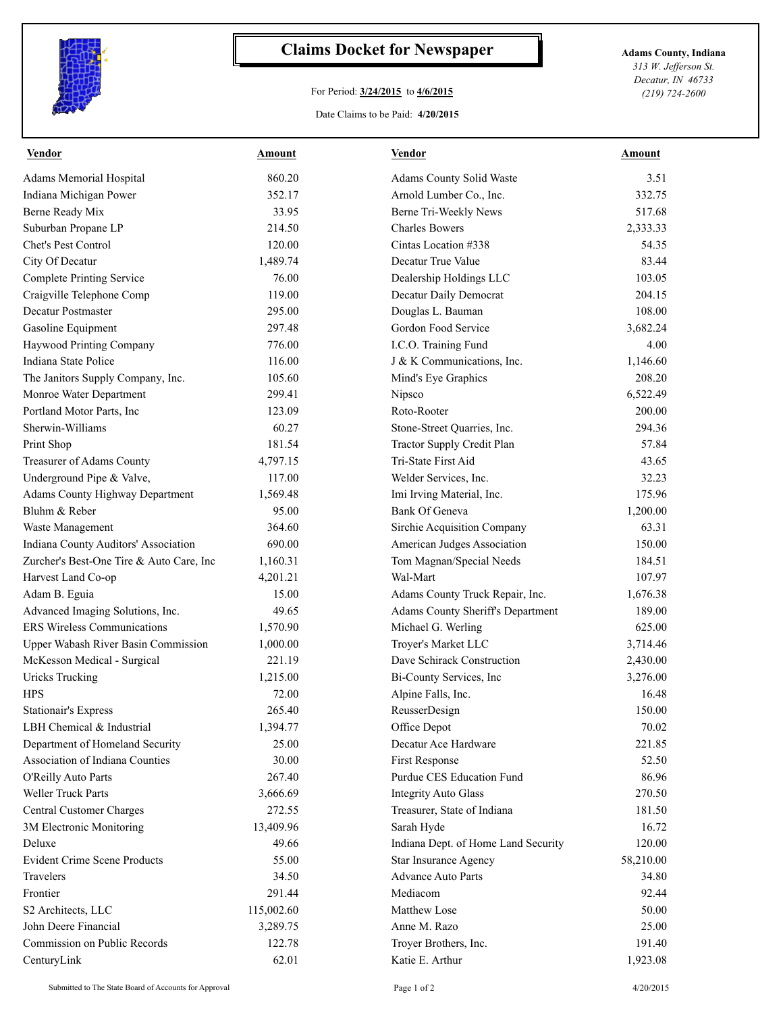

## **Claims Docket for Newspaper Adams County, Indiana**

## For Period: **3/24/2015** to **4/6/2015**

*313 W. Jefferson St. Decatur, IN 46733 (219) 724-2600*

## Date Claims to be Paid: **4/20/2015**

| <u>Vendor</u>                            | <b>Amount</b> | <u>Vendor</u>                       | <u>Amount</u> |
|------------------------------------------|---------------|-------------------------------------|---------------|
| Adams Memorial Hospital                  | 860.20        | Adams County Solid Waste            | 3.51          |
| Indiana Michigan Power                   | 352.17        | Arnold Lumber Co., Inc.             | 332.75        |
| Berne Ready Mix                          | 33.95         | Berne Tri-Weekly News               | 517.68        |
| Suburban Propane LP                      | 214.50        | <b>Charles Bowers</b>               | 2,333.33      |
| Chet's Pest Control                      | 120.00        | Cintas Location #338                | 54.35         |
| City Of Decatur                          | 1,489.74      | Decatur True Value                  | 83.44         |
| <b>Complete Printing Service</b>         | 76.00         | Dealership Holdings LLC             | 103.05        |
| Craigville Telephone Comp                | 119.00        | Decatur Daily Democrat              | 204.15        |
| Decatur Postmaster                       | 295.00        | Douglas L. Bauman                   | 108.00        |
| Gasoline Equipment                       | 297.48        | Gordon Food Service                 | 3,682.24      |
| Haywood Printing Company                 | 776.00        | I.C.O. Training Fund                | 4.00          |
| Indiana State Police                     | 116.00        | J & K Communications, Inc.          | 1,146.60      |
| The Janitors Supply Company, Inc.        | 105.60        | Mind's Eye Graphics                 | 208.20        |
| Monroe Water Department                  | 299.41        | Nipsco                              | 6,522.49      |
| Portland Motor Parts, Inc                | 123.09        | Roto-Rooter                         | 200.00        |
| Sherwin-Williams                         | 60.27         | Stone-Street Quarries, Inc.         | 294.36        |
| Print Shop                               | 181.54        | Tractor Supply Credit Plan          | 57.84         |
| Treasurer of Adams County                | 4,797.15      | Tri-State First Aid                 | 43.65         |
| Underground Pipe & Valve,                | 117.00        | Welder Services, Inc.               | 32.23         |
| <b>Adams County Highway Department</b>   | 1,569.48      | Imi Irving Material, Inc.           | 175.96        |
| Bluhm & Reber                            | 95.00         | <b>Bank Of Geneva</b>               | 1,200.00      |
| Waste Management                         | 364.60        | Sirchie Acquisition Company         | 63.31         |
| Indiana County Auditors' Association     | 690.00        | American Judges Association         | 150.00        |
| Zurcher's Best-One Tire & Auto Care, Inc | 1,160.31      | Tom Magnan/Special Needs            | 184.51        |
| Harvest Land Co-op                       | 4,201.21      | Wal-Mart                            | 107.97        |
| Adam B. Eguia                            | 15.00         | Adams County Truck Repair, Inc.     | 1,676.38      |
| Advanced Imaging Solutions, Inc.         | 49.65         | Adams County Sheriff's Department   | 189.00        |
| <b>ERS</b> Wireless Communications       | 1,570.90      | Michael G. Werling                  | 625.00        |
| Upper Wabash River Basin Commission      | 1,000.00      | Troyer's Market LLC                 | 3,714.46      |
| McKesson Medical - Surgical              | 221.19        | Dave Schirack Construction          | 2,430.00      |
| <b>Uricks Trucking</b>                   | 1,215.00      | Bi-County Services, Inc             | 3,276.00      |
| <b>HPS</b>                               | 72.00         | Alpine Falls, Inc.                  | 16.48         |
| <b>Stationair's Express</b>              | 265.40        | ReusserDesign                       | 150.00        |
| LBH Chemical & Industrial                | 1,394.77      | Office Depot                        | 70.02         |
| Department of Homeland Security          | 25.00         | Decatur Ace Hardware                | 221.85        |
| Association of Indiana Counties          | 30.00         | First Response                      | 52.50         |
| O'Reilly Auto Parts                      | 267.40        | Purdue CES Education Fund           | 86.96         |
| Weller Truck Parts                       | 3,666.69      | <b>Integrity Auto Glass</b>         | 270.50        |
| Central Customer Charges                 | 272.55        | Treasurer, State of Indiana         | 181.50        |
| 3M Electronic Monitoring                 | 13,409.96     | Sarah Hyde                          | 16.72         |
| Deluxe                                   | 49.66         | Indiana Dept. of Home Land Security | 120.00        |
| <b>Evident Crime Scene Products</b>      | 55.00         | Star Insurance Agency               | 58,210.00     |
| Travelers                                | 34.50         | <b>Advance Auto Parts</b>           | 34.80         |
| Frontier                                 | 291.44        | Mediacom                            | 92.44         |
| S2 Architects, LLC                       | 115,002.60    | Matthew Lose                        | 50.00         |
| John Deere Financial                     | 3,289.75      | Anne M. Razo                        | 25.00         |
| Commission on Public Records             | 122.78        |                                     |               |
|                                          |               | Troyer Brothers, Inc.               | 191.40        |
| CenturyLink                              | 62.01         | Katie E. Arthur                     | 1,923.08      |